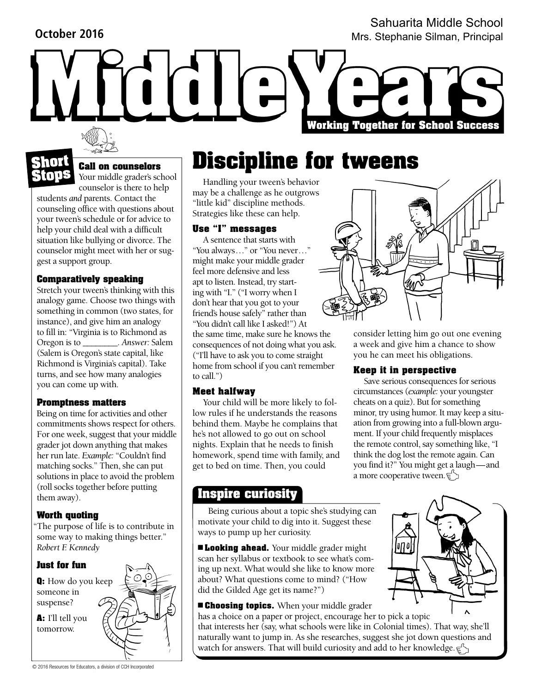## **October 2016**

Sahuarita Middle School Mrs. Stephanie Silman, Principal

**Short**

**Stops**

# **Call on counselors**

Your middle grader's school counselor is there to help

students *and* parents. Contact the counseling office with questions about your tween's schedule or for advice to help your child deal with a difficult situation like bullying or divorce. The counselor might meet with her or suggest a support group.

## **Comparatively speaking**

Stretch your tween's thinking with this analogy game. Choose two things with something in common (two states, for instance), and give him an analogy to fill in: "Virginia is to Richmond as Oregon is to \_\_\_\_\_\_\_\_. *Answer:* Salem (Salem is Oregon's state capital, like Richmond is Virginia's capital). Take turns, and see how many analogies you can come up with.

### **Promptness matters**

Being on time for activities and other commitments shows respect for others. For one week, suggest that your middle grader jot down anything that makes her run late. *Example:* "Couldn't find matching socks." Then, she can put solutions in place to avoid the problem (roll socks together before putting them away).

## **Worth quoting**

"The purpose of life is to contribute in some way to making things better." *Robert F. Kennedy*



## **Use "I" messages** A sentence that starts with

"little kid" discipline methods. Strategies like these can help.

**Discipline for tweens** 

"You always…" or "You never…" might make your middle grader feel more defensive and less apt to listen. Instead, try starting with "I." ("I worry when I don't hear that you got to your friend's house safely" rather than "You didn't call like I asked!") At the same time, make sure he knows the consequences of not doing what you ask. ("I'll have to ask you to come straight home from school if you can't remember to call.")

### **Meet halfway**

Your child will be more likely to follow rules if he understands the reasons behind them. Maybe he complains that he's not allowed to go out on school nights. Explain that he needs to finish homework, spend time with family, and get to bed on time. Then, you could

## **Inspire curiosity**

Being curious about a topic she's studying can motivate your child to dig into it. Suggest these ways to pump up her curiosity.

■ **Looking ahead.** Your middle grader might scan her syllabus or textbook to see what's coming up next. What would she like to know more about? What questions come to mind? ("How did the Gilded Age get its name?")

■ **Choosing topics.** When your middle grader

has a choice on a paper or project, encourage her to pick a topic that interests her (say, what schools were like in Colonial times). That way, she'll naturally want to jump in. As she researches, suggest she jot down questions and watch for answers. That will build curiosity and add to her knowledge. $\in \mathfrak{S}$ 



**Working Together for School Success** 

consider letting him go out one evening a week and give him a chance to show you he can meet his obligations.

## **Keep it in perspective**

Save serious consequences for serious circumstances (*example:* your youngster cheats on a quiz). But for something minor, try using humor. It may keep a situation from growing into a full-blown argument. If your child frequently misplaces the remote control, say something like, "I think the dog lost the remote again. Can you find it?" You might get a laugh—and a more cooperative tween.  $\in \searrow$ 

© 2016 Resources for Educators, a division of CCH Incorporated